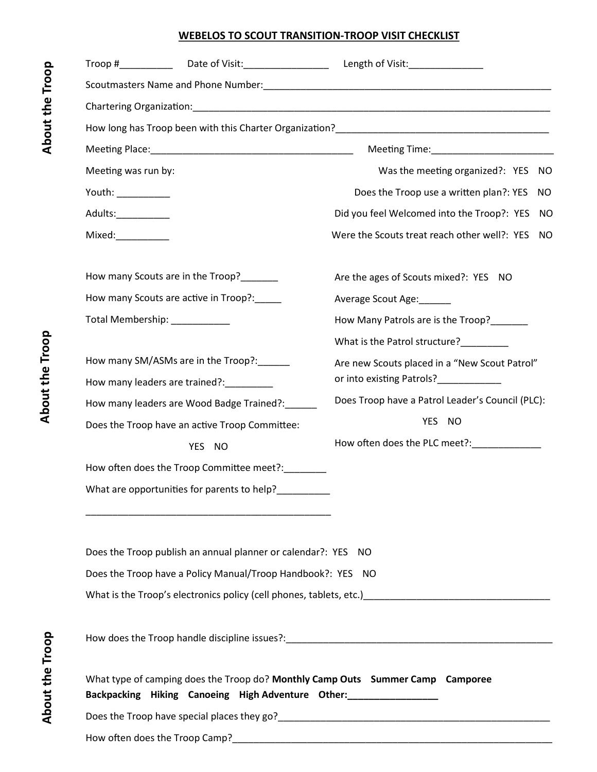## **WEBELOS TO SCOUT TRANSITION-TROOP VISIT CHECKLIST**

| Meeting was run by:                      |                                                                                                                                                                     | Was the meeting organized?: YES<br>NO.                                                               |
|------------------------------------------|---------------------------------------------------------------------------------------------------------------------------------------------------------------------|------------------------------------------------------------------------------------------------------|
| Youth: ___________                       |                                                                                                                                                                     | Does the Troop use a written plan?: YES<br>NO.                                                       |
| Adults: Andrew March 2014                |                                                                                                                                                                     | Did you feel Welcomed into the Troop?: YES NO                                                        |
| $Mixed: \_\_\_\_\_\_\_\_\_\_\_\_\_$      |                                                                                                                                                                     | Were the Scouts treat reach other well?: YES<br>NO.                                                  |
| How many Scouts are in the Troop?        |                                                                                                                                                                     | Are the ages of Scouts mixed?: YES NO                                                                |
|                                          | How many Scouts are active in Troop?:_____                                                                                                                          | Average Scout Age:                                                                                   |
|                                          | Total Membership: ___________                                                                                                                                       | How Many Patrols are is the Troop?                                                                   |
|                                          |                                                                                                                                                                     | What is the Patrol structure?                                                                        |
| How many SM/ASMs are in the Troop?:_____ |                                                                                                                                                                     | Are new Scouts placed in a "New Scout Patrol"                                                        |
| How many leaders are trained?:_________  |                                                                                                                                                                     | or into existing Patrols?____________                                                                |
|                                          | How many leaders are Wood Badge Trained?:                                                                                                                           | Does Troop have a Patrol Leader's Council (PLC):                                                     |
|                                          | Does the Troop have an active Troop Committee:                                                                                                                      | YES NO                                                                                               |
|                                          | YES NO                                                                                                                                                              | How often does the PLC meet?:_____________                                                           |
|                                          | How often does the Troop Committee meet?: ______                                                                                                                    |                                                                                                      |
|                                          | What are opportunities for parents to help?<br><u> 1989 - Johann Stein, mars an deutscher Stein und der Stein und der Stein und der Stein und der Stein und der</u> |                                                                                                      |
|                                          | Does the Troop publish an annual planner or calendar?: YES NO                                                                                                       |                                                                                                      |
|                                          | Does the Troop have a Policy Manual/Troop Handbook?: YES NO                                                                                                         |                                                                                                      |
|                                          |                                                                                                                                                                     | What is the Troop's electronics policy (cell phones, tablets, etc.) The manuscription of the Troop's |
|                                          |                                                                                                                                                                     |                                                                                                      |
|                                          | Backpacking Hiking Canoeing High Adventure Other: _________________                                                                                                 | What type of camping does the Troop do? Monthly Camp Outs Summer Camp Camporee                       |
|                                          |                                                                                                                                                                     |                                                                                                      |
|                                          |                                                                                                                                                                     |                                                                                                      |

**About the Troop**

About the Troop